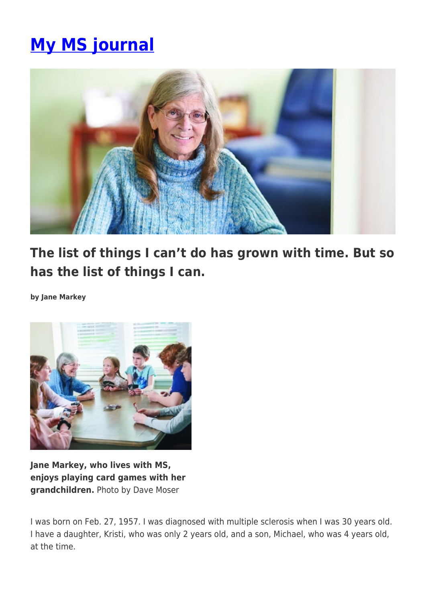## **[My MS journal](https://momentummagazineonline.com/my-ms-journal/)**



**The list of things I can't do has grown with time. But so has the list of things I can.**

**by Jane Markey**



**Jane Markey, who lives with MS, enjoys playing card games with her grandchildren.** Photo by Dave Moser

I was born on Feb. 27, 1957. I was diagnosed with multiple sclerosis when I was 30 years old. I have a daughter, Kristi, who was only 2 years old, and a son, Michael, who was 4 years old, at the time.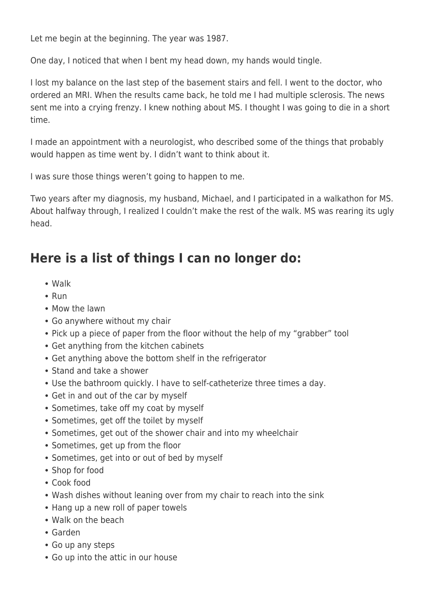Let me begin at the beginning. The year was 1987.

One day, I noticed that when I bent my head down, my hands would tingle.

I lost my balance on the last step of the basement stairs and fell. I went to the doctor, who ordered an MRI. When the results came back, he told me I had multiple sclerosis. The news sent me into a crying frenzy. I knew nothing about MS. I thought I was going to die in a short time.

I made an appointment with a neurologist, who described some of the things that probably would happen as time went by. I didn't want to think about it.

I was sure those things weren't going to happen to me.

Two years after my diagnosis, my husband, Michael, and I participated in a walkathon for MS. About halfway through, I realized I couldn't make the rest of the walk. MS was rearing its ugly head.

## **Here is a list of things I can no longer do:**

- Walk
- $\cdot$  Run
- Mow the lawn
- Go anywhere without my chair
- Pick up a piece of paper from the floor without the help of my "grabber" tool
- Get anything from the kitchen cabinets
- Get anything above the bottom shelf in the refrigerator
- Stand and take a shower
- Use the bathroom quickly. I have to self-catheterize three times a day.
- Get in and out of the car by myself
- Sometimes, take off my coat by myself
- Sometimes, get off the toilet by myself
- Sometimes, get out of the shower chair and into my wheelchair
- Sometimes, get up from the floor
- Sometimes, get into or out of bed by myself
- Shop for food
- Cook food
- Wash dishes without leaning over from my chair to reach into the sink
- Hang up a new roll of paper towels
- Walk on the beach
- Garden
- Go up any steps
- Go up into the attic in our house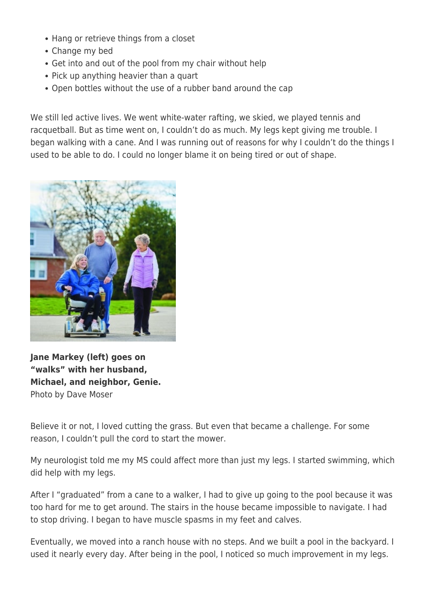- Hang or retrieve things from a closet
- Change my bed
- Get into and out of the pool from my chair without help
- Pick up anything heavier than a quart
- Open bottles without the use of a rubber band around the cap

We still led active lives. We went white-water rafting, we skied, we played tennis and racquetball. But as time went on, I couldn't do as much. My legs kept giving me trouble. I began walking with a cane. And I was running out of reasons for why I couldn't do the things I used to be able to do. I could no longer blame it on being tired or out of shape.



**Jane Markey (left) goes on "walks" with her husband, Michael, and neighbor, Genie.** Photo by Dave Moser

Believe it or not, I loved cutting the grass. But even that became a challenge. For some reason, I couldn't pull the cord to start the mower.

My neurologist told me my MS could affect more than just my legs. I started swimming, which did help with my legs.

After I "graduated" from a cane to a walker, I had to give up going to the pool because it was too hard for me to get around. The stairs in the house became impossible to navigate. I had to stop driving. I began to have muscle spasms in my feet and calves.

Eventually, we moved into a ranch house with no steps. And we built a pool in the backyard. I used it nearly every day. After being in the pool, I noticed so much improvement in my legs.